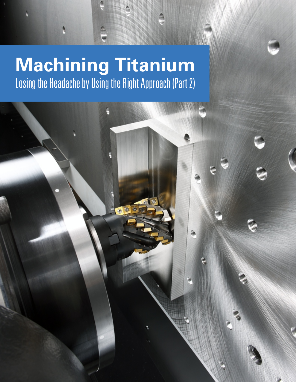# **Machining Titanium** Losing the Headache by Using the Right Approach (Part 2)

 $\frac{1}{2}$ 

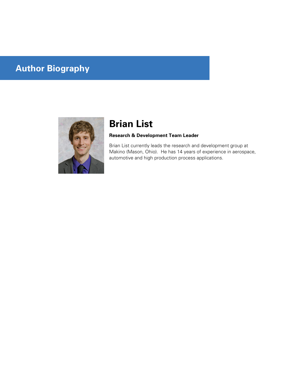# **Author Biography**



# **Brian List**

## **Research & Development Team Leader**

Brian List currently leads the research and development group at Makino (Mason, Ohio). He has 14 years of experience in aerospace, automotive and high production process applications.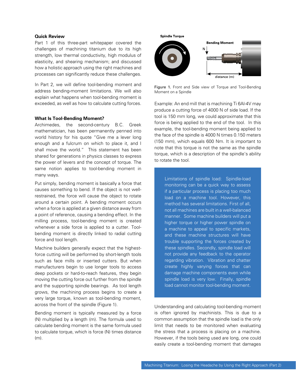#### **Quick Review**

Part 1 of this three-part whitepaper covered the challenges of machining titanium due to its high strength, low thermal conductivity, high modulus of elasticity, and shearing mechanism; and discussed how a holistic approach using the right machines and processes can significantly reduce these challenges.

In Part 2, we will define tool-bending moment and address bending-moment limitations. We will also explain what happens when tool-bending moment is exceeded, as well as how to calculate cutting forces.

#### **What Is Tool-Bending Moment?**

Archimedes, the second-century B.C. Greek mathematician, has been permanently penned into world history for his quote "Give me a lever long enough and a fulcrum on which to place it, and I shall move the world." This statement has been shared for generations in physics classes to express the power of levers and the concept of torque. The same notion applies to tool-bending moment in many ways.

Put simply, bending moment is basically a force that causes something to bend. If the object is not wellrestrained, the force will cause the object to rotate around a certain point. A bending moment occurs when a force is applied at a given distance away from a point of reference, causing a bending effect. In the milling process, tool-bending moment is created whenever a side force is applied to a cutter. Toolbending moment is directly linked to radial cutting force and tool length.

Machine builders generally expect that the highestforce cutting will be performed by short-length tools such as face mills or inserted cutters. But when manufacturers begin to use longer tools to access deep pockets or hard-to-reach features, they begin moving the cutting force out further from the spindle and the supporting spindle bearings. As tool length grows, the machining process begins to create a very large torque, known as tool-bending moment, across the front of the spindle (Figure 1).

Bending moment is typically measured by a force (N) multiplied by a length (m). The formula used to calculate bending moment is the same formula used to calculate torque, which is force (N) times distance (m).





Figure 1. Front and Side view of Torque and Tool-Bending Moment on a Spindle

Example: An end mill that is machining Ti 6Al-4V may produce a cutting force of 4000 N of side load. If the tool is 150 mm long, we could approximate that this force is being applied to the end of the tool. In this example, the tool-bending moment being applied to the face of the spindle is 4000 N times 0.150 meters (150 mm), which equals 600 Nm. It is important to note that this torque is not the same as the spindle torque, which is a description of the spindle's ability to rotate the tool.

Limitations of spindle load: Spindle-load monitoring can be a quick way to assess if a particular process is placing too much load on a machine tool. However, this method has several limitations. First of all, not all machines are built in a well-balanced manner. Some machine builders will put a higher torque or higher power spindle on a machine to appeal to specific markets, and these machine structures will have trouble supporting the forces created by these spindles. Secondly, spindle load will not provide any feedback to the operator regarding vibration. Vibration and chatter create highly varying forces that can damage machine components even while spindle load is very low. Finally, spindle load cannot monitor tool-bending moment.

Understanding and calculating tool-bending moment is often ignored by machinists. This is due to a common assumption that the spindle load is the only limit that needs to be monitored when evaluating the stress that a process is placing on a machine. However, if the tools being used are long, one could easily create a tool-bending moment that damages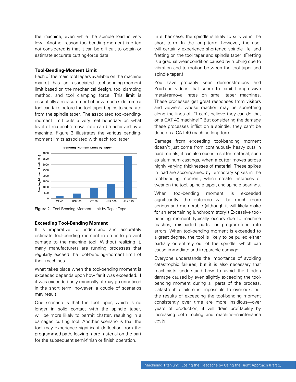the machine, even while the spindle load is very low. Another reason tool-bending moment is often not considered is that it can be difficult to obtain or estimate accurate cutting-force data.

#### **Tool-Bending-Moment Limit**

Each of the main tool tapers available on the machine market has an associated tool-bending-moment limit based on the mechanical design, tool clamping method, and tool clamping force. This limit is essentially a measurement of how much side force a tool can take before the tool taper begins to separate from the spindle taper. The associated tool-bendingmoment limit puts a very real boundary on what level of material-removal rate can be achieved by a machine. Figure 2 illustrates the various bendingmoment limits associated with each tool taper.



Figure 2. Tool-Bending-Moment Limit by Taper Type

#### **Exceeding Tool-Bending Moment**

It is imperative to understand and accurately estimate tool-bending moment in order to prevent damage to the machine tool. Without realizing it, many manufacturers are running processes that regularly exceed the tool-bending-moment limit of their machines.

What takes place when the tool-bending moment is exceeded depends upon how far it was exceeded. If it was exceeded only minimally, it may go unnoticed in the short term; however, a couple of scenarios may result.

One scenario is that the tool taper, which is no longer in solid contact with the spindle taper, will be more likely to permit chatter, resulting in a damaged cutting tool. Another scenario is that the tool may experience significant deflection from the programmed path, leaving more material on the part for the subsequent semi-finish or finish operation.

In either case, the spindle is likely to survive in the short term. In the long term, however, the user will certainly experience shortened spindle life, and fretting on the tool taper and spindle taper. (Fretting is a gradual wear condition caused by rubbing due to vibration and to motion between the tool taper and spindle taper.)

You have probably seen demonstrations and YouTube videos that seem to exhibit impressive metal-removal rates on small taper machines. These processes get great responses from visitors and viewers, whose reaction may be something along the lines of, "I can't believe they can do that on a CAT 40 machine!" But considering the damage these processes inflict on a spindle, they can't be done on a CAT 40 machine long-term.

Damage from exceeding tool-bending moment doesn't just come from continuously heavy cuts in hard metals, it can also occur in softer material, such as aluminum castings, when a cutter moves across highly varying thicknesses of material. These spikes in load are accompanied by temporary spikes in the tool-bending moment, which create instances of wear on the tool, spindle taper, and spindle bearings.

When tool-bending moment is exceeded significantly, the outcome will be much more serious and memorable (although it will likely make for an entertaining lunchroom story!) Excessive toolbending moment typically occurs due to machine crashes, misloaded parts, or program-feed rate errors. When tool-bending moment is exceeded to a great degree, the tool is likely to be pulled either partially or entirely out of the spindle, which can cause immediate and irreparable damage.

Everyone understands the importance of avoiding catastrophic failures, but it is also necessary that machinists understand how to avoid the hidden damage caused by even slightly exceeding the toolbending moment during all parts of the process. Catastrophic failure is impossible to overlook, but the results of exceeding the tool-bending moment consistently over time are more insidious—over years of production, it will drain profitability by increasing both tooling and machine-maintenance costs.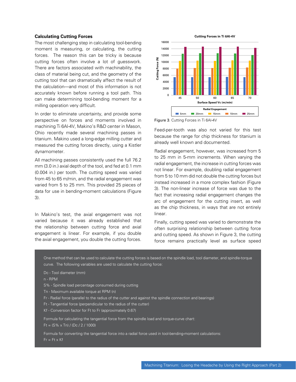#### **Calculating Cutting Forces**

The most challenging step in calculating tool-bending moment is measuring, or calculating, the cutting forces. The reason this can be tricky is because cutting forces often involve a lot of guesswork. There are factors associated with machinability, the class of material being cut, and the geometry of the cutting tool that can dramatically affect the result of the calculation—and most of this information is not accurately known before running a tool path. This can make determining tool-bending moment for a milling operation very difficult.

In order to eliminate uncertainty, and provide some perspective on forces and moments involved in machining Ti 6Al-4V, Makino's R&D center in Mason, Ohio recently made several machining passes in titanium. Makino used a long-edge milling cutter and measured the cutting forces directly, using a Kistler dynamometer.

All machining passes consistently used the full 76.2 mm (3.0 in.) axial depth of the tool, and fed at 0.1 mm (0.004 in.) per tooth. The cutting speed was varied from 45 to 65 m/min, and the radial engagement was varied from 5 to 25 mm. This provided 25 pieces of data for use in bending-moment calculations (Figure 3).

In Makino's test, the axial engagement was not varied because it was already established that the relationship between cutting force and axial engagement is linear. For example, if you double the axial engagement, you double the cutting forces.



Figure 3. Cutting Forces in Ti 6Al-4V

Feed-per-tooth was also not varied for this test because the range for chip thickness for titanium is already well known and documented.

Radial engagement, however, was increased from 5 to 25 mm in 5-mm increments. When varying the radial engagement, the increase in cutting forces was not linear. For example, doubling radial engagement from 5 to 10 mm did not double the cutting forces but instead increased in a more complex fashion (Figure 3). The non-linear increase of force was due to the fact that increasing radial engagement changes the arc of engagement for the cutting insert, as well as the chip thickness, in ways that are not entirely linear.

Finally, cutting speed was varied to demonstrate the often surprising relationship between cutting force and cutting speed. As shown in Figure 3, the cutting force remains practically level as surface speed

One method that can be used to calculate the cutting forces is based on the spindle load, tool diameter, and spindle-torque curve. The following variables are used to calculate the cutting force:

Dc - Tool diameter (mm)

n - RPM

- S% Spindle load percentage consumed during cutting
- Tn Maximum available torque at RPM (n)
- Fr Radial force (parallel to the radius of the cutter and against the spindle connection and bearings)
- Ft Tangential force (perpendicular to the radius of the cutter)
- Kf Conversion factor for Ft to Fr (approximately 0.67)

Formula for calculating the tangential force from the spindle load and torque-curve chart:

 $Ft = (S\% \times Tn) / (Dc / 2 / 1000)$ 

Formula for converting the tangential force into a radial force used in tool-bending-moment calculations:  $Fr = Ft \times Kf$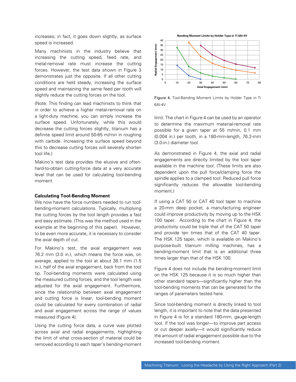increases; in fact, it goes down slightly, as surface speed is increased.

Many machinists in the industry believe that increasing the cutting speed, feed rate, and metal-removal rate must increase the cutting forces. However, the test data shown in Figure 3 demonstrates just the opposite. If all other cutting conditions are held steady, increasing the surface speed and maintaining the same feed per tooth will slightly reduce the cutting forces on the tool.

(Note: This finding can lead machinists to think that in order to achieve a higher metal-removal rate on a light-duty machine, you can simply increase the surface speed. Unfortunately, while this would decrease the cutting forces slightly, titanium has a definite speed limit around 50-65 m/min in roughing with carbide. Increasing the surface speed beyond this to decrease cutting forces will severely shorten tool life.)

Makino's test data provides the elusive and oftenhard-to-obtain cutting-force data at a very accurate level that can be used for calculating tool-bending moment.

#### **Calculating Tool-Bending Moment**

We now have the force numbers needed to run toolbending-moment calculations. Typically, multiplying the cutting forces by the tool length provides a fast and easy estimate. (This was the method used in the example at the beginning of this paper). However, to be even more accurate, it is necessary to consider the axial depth of cut.

For Makino's test, the axial engagement was 76.2 mm (3.0 in.), which means the force was, on average, applied to the tool at about 38.1 mm (1.5 in.), half of the axial engagement, back from the tool tip. Tool-bending moments were calculated using the measured cutting forces, and the tool length was adjusted for the axial engagement. Furthermore, since the relationship between axial engagement and cutting force is linear, tool-bending moment could be calculated for every combination of radial and axial engagement across the range of values measured (Figure 4).

Using the cutting force data, a curve was plotted across axial and radial engagements, highlighting the limit of what cross-section of material could be removed according to each taper's bending-moment



Figure 4. Tool-Bending Moment Limits by Holder Type in Ti 6AI-4V

limit. The chart in Figure 4 can be used by an operator to determine the maximum material-removal rate possible for a given taper at 55 m/min, 0.1 mm (0.004 in.) per tooth, in a 180-mm-length, 76.2-mm (3.0-in.) diameter tool.

As demonstrated in Figure 4, the axial and radial engagements are directly limited by the tool taper available in the machine tool. (These limits are also dependent upon the pull force/clamping force the spindle applies to a clamped tool. Reduced pull force significantly reduces the allowable tool-bending moment.)

If using a CAT 50 or CAT 40 tool taper to machine a 20-mm deep pocket, a manufacturing engineer could improve productivity by moving up to the HSK 100 taper. According to the chart in Figure 4, the productivity could be triple that of the CAT 50 taper and provide ten times that of the CAT 40 taper. The HSK 125 taper, which is available on Makino's purpose-built titanium milling machines, has a bending-moment limit that is an additional three times larger than that of the HSK 100.

Figure 4 does not include the bending-moment limit on the HSK 125 because it is so much higher than other standard tapers—significantly higher than the tool-bending moments that can be generated for the ranges of parameters tested here.

Since tool-bending moment is directly linked to tool length, it is important to note that the data presented in Figure 4 is for a standard 180-mm, gauge-length tool. If the tool was longer—to improve part access or cut deeper axially—it would significantly reduce the amount of radial engagement possible due to the increased tool-bending moment.